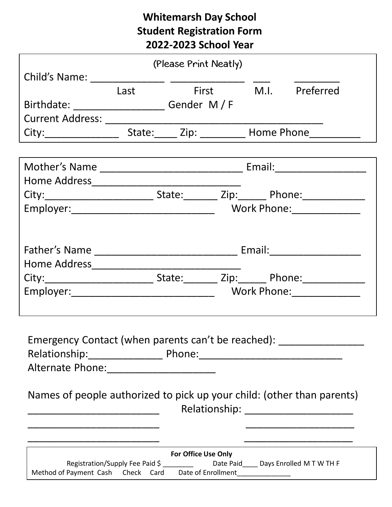# **Whitemarsh Day School Student Registration Form 2022-2023 School Year**

|                                                                                                                |      | (Please Print Neatly) |  |                           |                                         |
|----------------------------------------------------------------------------------------------------------------|------|-----------------------|--|---------------------------|-----------------------------------------|
|                                                                                                                |      |                       |  |                           |                                         |
|                                                                                                                | Last |                       |  |                           | First M.I. Preferred                    |
| Birthdate: ____________________________ Gender M / F                                                           |      |                       |  |                           |                                         |
|                                                                                                                |      |                       |  |                           |                                         |
|                                                                                                                |      |                       |  |                           |                                         |
|                                                                                                                |      |                       |  |                           |                                         |
|                                                                                                                |      |                       |  |                           |                                         |
|                                                                                                                |      |                       |  |                           |                                         |
| City:______________________________State:__________ Zip:________ Phone:________________                        |      |                       |  |                           |                                         |
|                                                                                                                |      |                       |  | Work Phone: _____________ |                                         |
|                                                                                                                |      |                       |  |                           |                                         |
|                                                                                                                |      |                       |  |                           |                                         |
|                                                                                                                |      |                       |  |                           |                                         |
|                                                                                                                |      |                       |  |                           |                                         |
| City:_______________________________State:__________ Zip:_________ Phone:______________                        |      |                       |  |                           |                                         |
|                                                                                                                |      |                       |  |                           |                                         |
|                                                                                                                |      |                       |  |                           |                                         |
|                                                                                                                |      |                       |  |                           |                                         |
| Emergency Contact (when parents can't be reached): _____________________________                               |      |                       |  |                           |                                         |
| Relationship: Phone: 2000 Phone: 2000 Phone 2000 Phone: 2000 Phone: 2000 Phone 2000 Phone 2000 Phone 2000 Phon |      |                       |  |                           |                                         |
| Alternate Phone: 2008                                                                                          |      |                       |  |                           |                                         |
| Names of people authorized to pick up your child: (other than parents)                                         |      |                       |  |                           |                                         |
|                                                                                                                |      |                       |  |                           | Relationship: _________________________ |
|                                                                                                                |      |                       |  |                           |                                         |
|                                                                                                                |      |                       |  |                           |                                         |
| For Office Use Only                                                                                            |      |                       |  |                           |                                         |
| Registration/Supply Fee Paid \$ __________ Date Paid____ Days Enrolled M T W TH F                              |      |                       |  |                           |                                         |
| Method of Payment Cash Check Card Date of Enrollment____________________________                               |      |                       |  |                           |                                         |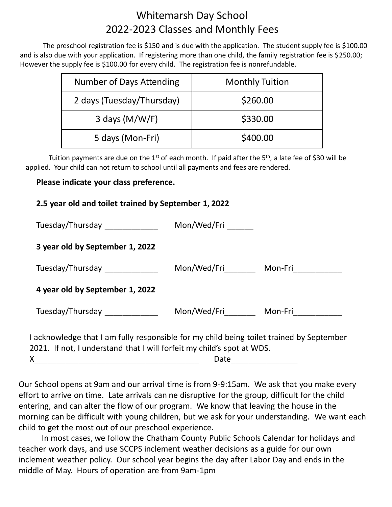# Whitemarsh Day School 2022-2023 Classes and Monthly Fees

The preschool registration fee is \$150 and is due with the application. The student supply fee is \$100.00 and is also due with your application. If registering more than one child, the family registration fee is \$250.00; However the supply fee is \$100.00 for every child. The registration fee is nonrefundable.

| Number of Days Attending  | <b>Monthly Tuition</b> |
|---------------------------|------------------------|
| 2 days (Tuesday/Thursday) | \$260.00               |
| 3 days $(M/W/F)$          | \$330.00               |
| 5 days (Mon-Fri)          | \$400.00               |

Tuition payments are due on the 1<sup>st</sup> of each month. If paid after the 5<sup>th</sup>, a late fee of \$30 will be applied. Your child can not return to school until all payments and fees are rendered.

# **Please indicate your class preference.**

| 2.5 year old and toilet trained by September 1, 2022                                                                                                               |      |                                            |  |
|--------------------------------------------------------------------------------------------------------------------------------------------------------------------|------|--------------------------------------------|--|
| Tuesday/Thursday _______________ Mon/Wed/Fri ______                                                                                                                |      |                                            |  |
| 3 year old by September 1, 2022                                                                                                                                    |      |                                            |  |
| Tuesday/Thursday Tuesday                                                                                                                                           |      | Mon/Wed/Fri__________ Mon-Fri_____________ |  |
| 4 year old by September 1, 2022                                                                                                                                    |      |                                            |  |
| Tuesday/Thursday                                                                                                                                                   |      | Mon/Wed/Fri__________ Mon-Fri____________  |  |
| I acknowledge that I am fully responsible for my child being toilet trained by September<br>2021. If not, I understand that I will forfeit my child's spot at WDS. |      |                                            |  |
| X                                                                                                                                                                  | Date |                                            |  |

Our School opens at 9am and our arrival time is from 9-9:15am. We ask that you make every effort to arrive on time. Late arrivals can ne disruptive for the group, difficult for the child entering, and can alter the flow of our program. We know that leaving the house in the morning can be difficult with young children, but we ask for your understanding. We want each child to get the most out of our preschool experience.

In most cases, we follow the Chatham County Public Schools Calendar for holidays and teacher work days, and use SCCPS inclement weather decisions as a guide for our own inclement weather policy. Our school year begins the day after Labor Day and ends in the middle of May. Hours of operation are from 9am-1pm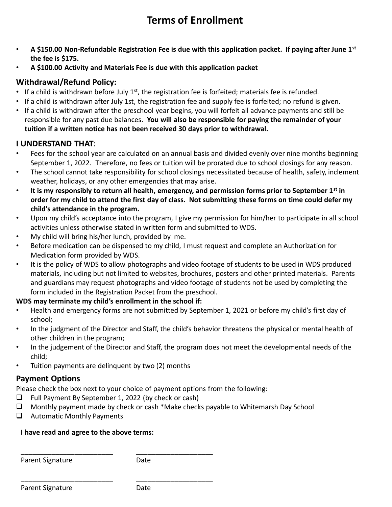# **Terms of Enrollment**

- **A \$150.00 Non-Refundable Registration Fee is due with this application packet. If paying after June 1st the fee is \$175.**
- **A \$100.00 Activity and Materials Fee is due with this application packet**

# **Withdrawal/Refund Policy:**

- If a child is withdrawn before July  $1<sup>st</sup>$ , the registration fee is forfeited; materials fee is refunded.
- If a child is withdrawn after July 1st, the registration fee and supply fee is forfeited; no refund is given.
- If a child is withdrawn after the preschool year begins, you will forfeit all advance payments and still be responsible for any past due balances. **You will also be responsible for paying the remainder of your tuition if a written notice has not been received 30 days prior to withdrawal.**

### **I UNDERSTAND THAT**:

- Fees for the school year are calculated on an annual basis and divided evenly over nine months beginning September 1, 2022. Therefore, no fees or tuition will be prorated due to school closings for any reason.
- The school cannot take responsibility for school closings necessitated because of health, safety, inclement weather, holidays, or any other emergencies that may arise.
- **It is my responsibly to return all health, emergency, and permission forms prior to September 1st in order for my child to attend the first day of class. Not submitting these forms on time could defer my child's attendance in the program.**
- Upon my child's acceptance into the program, I give my permission for him/her to participate in all school activities unless otherwise stated in written form and submitted to WDS.
- My child will bring his/her lunch, provided by me.
- Before medication can be dispensed to my child, I must request and complete an Authorization for Medication form provided by WDS.
- It is the policy of WDS to allow photographs and video footage of students to be used in WDS produced materials, including but not limited to websites, brochures, posters and other printed materials. Parents and guardians may request photographs and video footage of students not be used by completing the form included in the Registration Packet from the preschool.

### **WDS may terminate my child's enrollment in the school if:**

- Health and emergency forms are not submitted by September 1, 2021 or before my child's first day of school;
- In the judgment of the Director and Staff, the child's behavior threatens the physical or mental health of other children in the program;
- In the judgement of the Director and Staff, the program does not meet the developmental needs of the child;
- Tuition payments are delinquent by two (2) months

# **Payment Options**

Please check the box next to your choice of payment options from the following:

❑ Full Payment By September 1, 2022 (by check or cash)

\_\_\_\_\_\_\_\_\_\_\_\_\_\_\_\_\_\_\_\_\_\_\_\_ \_\_\_\_\_\_\_\_\_\_\_\_\_\_\_\_\_\_\_\_

\_\_\_\_\_\_\_\_\_\_\_\_\_\_\_\_\_\_\_\_\_\_\_\_ \_\_\_\_\_\_\_\_\_\_\_\_\_\_\_\_\_\_\_\_

- $\Box$  Monthly payment made by check or cash \*Make checks payable to Whitemarsh Day School
- ❑ Automatic Monthly Payments

### **I have read and agree to the above terms:**

Parent Signature Date

| Parent Signature | Date |
|------------------|------|
|------------------|------|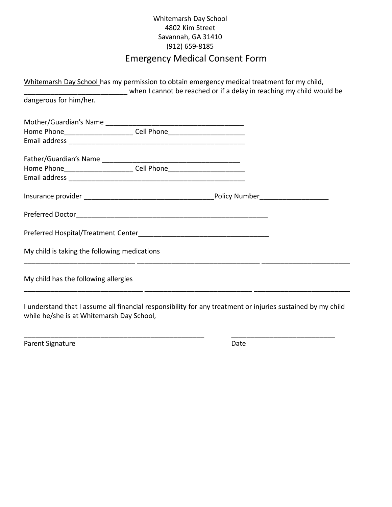#### Whitemarsh Day School 4802 Kim Street Savannah, GA 31410 (912) 659-8185

# Emergency Medical Consent Form

|                                              | Whitemarsh Day School has my permission to obtain emergency medical treatment for my child, |  |
|----------------------------------------------|---------------------------------------------------------------------------------------------|--|
|                                              | when I cannot be reached or if a delay in reaching my child would be                        |  |
| dangerous for him/her.                       |                                                                                             |  |
|                                              |                                                                                             |  |
|                                              | Home Phone___________________________Cell Phone_________________________________            |  |
|                                              |                                                                                             |  |
|                                              |                                                                                             |  |
|                                              | Home Phone____________________________Cell Phone________________________________            |  |
|                                              |                                                                                             |  |
|                                              |                                                                                             |  |
|                                              |                                                                                             |  |
|                                              |                                                                                             |  |
| My child is taking the following medications |                                                                                             |  |
| My child has the following allergies         |                                                                                             |  |

I understand that I assume all financial responsibility for any treatment or injuries sustained by my child while he/she is at Whitemarsh Day School,

\_\_\_\_\_\_\_\_\_\_\_\_\_\_\_\_\_\_\_\_\_\_\_\_\_\_\_\_\_\_\_\_\_\_\_\_\_\_\_\_\_\_\_\_\_\_\_ \_\_\_\_\_\_\_\_\_\_\_\_\_\_\_\_\_\_\_\_\_\_\_\_\_\_\_

Parent Signature Date Date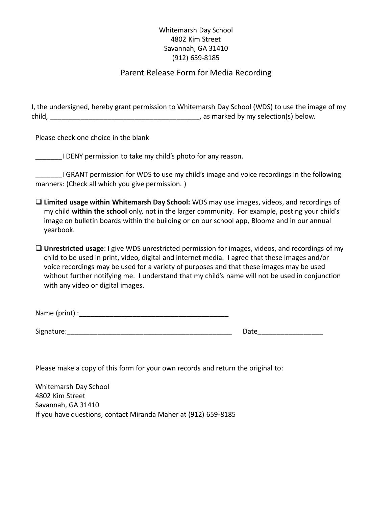#### Whitemarsh Day School 4802 Kim Street Savannah, GA 31410 (912) 659-8185

#### Parent Release Form for Media Recording

I, the undersigned, hereby grant permission to Whitemarsh Day School (WDS) to use the image of my child, \_\_\_\_\_\_\_\_\_\_\_\_\_\_\_\_\_\_\_\_\_\_\_\_\_\_\_\_\_\_\_\_\_\_\_\_\_\_\_, as marked by my selection(s) below.

Please check one choice in the blank

I DENY permission to take my child's photo for any reason.

I GRANT permission for WDS to use my child's image and voice recordings in the following manners: (Check all which you give permission. )

- ❑ **Limited usage within Whitemarsh Day School:** WDS may use images, videos, and recordings of my child **within the school** only, not in the larger community. For example, posting your child's image on bulletin boards within the building or on our school app, Bloomz and in our annual yearbook.
- ❑ **Unrestricted usage**: I give WDS unrestricted permission for images, videos, and recordings of my child to be used in print, video, digital and internet media. I agree that these images and/or voice recordings may be used for a variety of purposes and that these images may be used without further notifying me. I understand that my child's name will not be used in conjunction with any video or digital images.

| Name (print) : |  |
|----------------|--|
|                |  |

Signature: The contract of the contract of the contract of the contract of the contract of the contract of the contract of the contract of the contract of the contract of the contract of the contract of the contract of the

Please make a copy of this form for your own records and return the original to:

Whitemarsh Day School 4802 Kim Street Savannah, GA 31410 If you have questions, contact Miranda Maher at (912) 659-8185